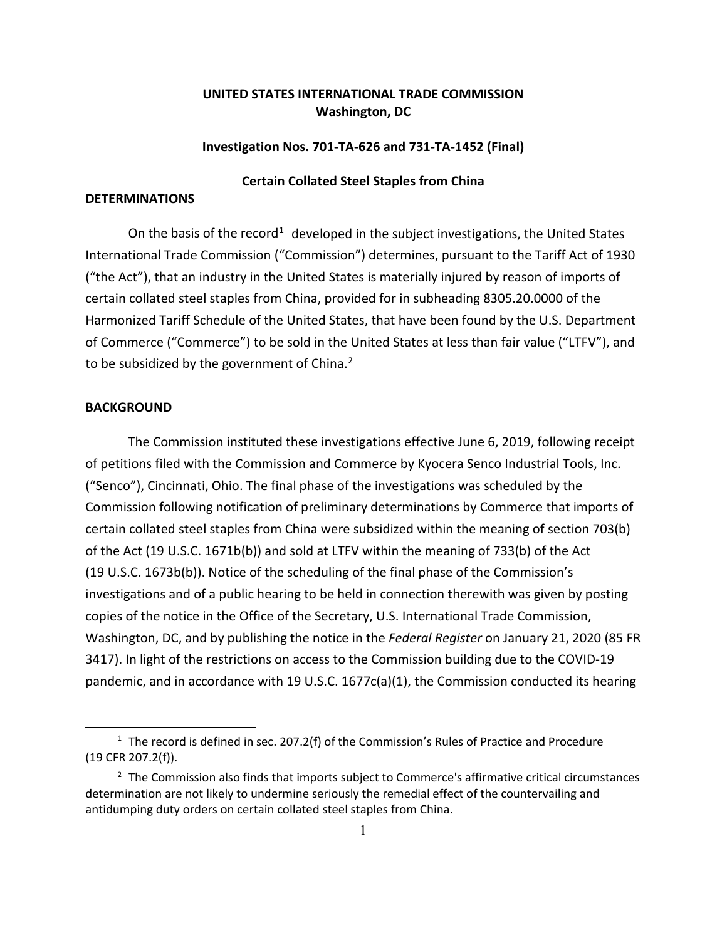# **UNITED STATES INTERNATIONAL TRADE COMMISSION Washington, DC**

### **Investigation Nos. 701-TA-626 and 731-TA-1452 (Final)**

## **Certain Collated Steel Staples from China**

# **DETERMINATIONS**

On the basis of the record<sup>[1](#page-0-0)</sup> developed in the subject investigations, the United States International Trade Commission ("Commission") determines, pursuant to the Tariff Act of 1930 ("the Act"), that an industry in the United States is materially injured by reason of imports of certain collated steel staples from China, provided for in subheading 8305.20.0000 of the Harmonized Tariff Schedule of the United States, that have been found by the U.S. Department of Commerce ("Commerce") to be sold in the United States at less than fair value ("LTFV"), and to be subsidized by the government of China.<sup>[2](#page-0-1)</sup>

### **BACKGROUND**

The Commission instituted these investigations effective June 6, 2019, following receipt of petitions filed with the Commission and Commerce by Kyocera Senco Industrial Tools, Inc. ("Senco"), Cincinnati, Ohio. The final phase of the investigations was scheduled by the Commission following notification of preliminary determinations by Commerce that imports of certain collated steel staples from China were subsidized within the meaning of section 703(b) of the Act (19 U.S.C. 1671b(b)) and sold at LTFV within the meaning of 733(b) of the Act (19 U.S.C. 1673b(b)). Notice of the scheduling of the final phase of the Commission's investigations and of a public hearing to be held in connection therewith was given by posting copies of the notice in the Office of the Secretary, U.S. International Trade Commission, Washington, DC, and by publishing the notice in the *Federal Register* on January 21, 2020 (85 FR 3417). In light of the restrictions on access to the Commission building due to the COVID-19 pandemic, and in accordance with 19 U.S.C. 1677c(a)(1), the Commission conducted its hearing

<span id="page-0-0"></span><sup>&</sup>lt;sup>1</sup> The record is defined in sec. 207.2(f) of the Commission's Rules of Practice and Procedure (19 CFR 207.2(f)).

<span id="page-0-1"></span><sup>&</sup>lt;sup>2</sup> The Commission also finds that imports subject to Commerce's affirmative critical circumstances determination are not likely to undermine seriously the remedial effect of the countervailing and antidumping duty orders on certain collated steel staples from China.